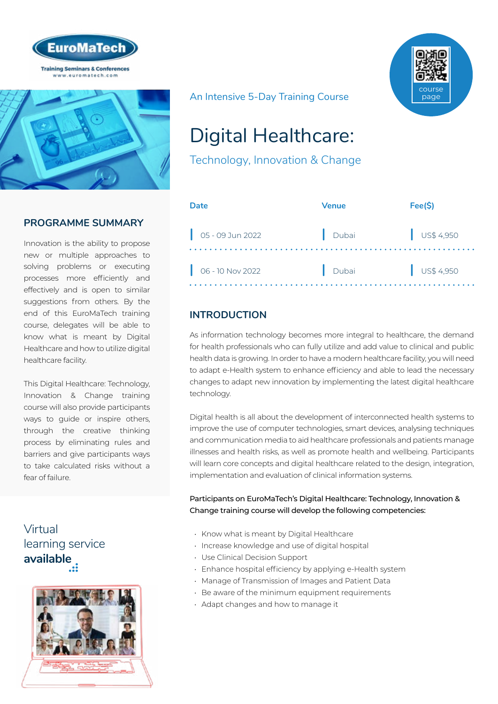



# **PROGRAMME SUMMARY**

Innovation is the ability to propose new or multiple approaches to solving problems or executing processes more efficiently and effectively and is open to similar suggestions from others. By the end of this EuroMaTech training course, delegates will be able to know what is meant by Digital Healthcare and how to utilize digital healthcare facility.

This Digital Healthcare: Technology, Innovation & Change training course will also provide participants ways to guide or inspire others, through the creative thinking process by eliminating rules and barriers and give participants ways to take calculated risks without a fear of failure.

# Virtual [learning service](https://www.euromatech.com/seminars/digital-healthcare-technology-innovation-change/)  **available**



An Intensive 5-Day Training Course



# Digital Healthcare:

Technology, Innovation & Change

| Date                        | Venue | Fee(S)               |
|-----------------------------|-------|----------------------|
| $\Big $ 05 - 09 Jun 2022    | Dubai | $\bigcup$ US\$ 4,950 |
| $\bigcirc$ 06 - 10 Nov 2022 | Dubai | $\bigcup$ US\$ 4,950 |

# **INTRODUCTION**

As information technology becomes more integral to healthcare, the demand for health professionals who can fully utilize and add value to clinical and public health data is growing. In order to have a modern healthcare facility, you will need to adapt e-Health system to enhance efficiency and able to lead the necessary changes to adapt new innovation by implementing the latest digital healthcare technology.

Digital health is all about the development of interconnected health systems to improve the use of computer technologies, smart devices, analysing techniques and communication media to aid healthcare professionals and patients manage illnesses and health risks, as well as promote health and wellbeing. Participants will learn core concepts and digital healthcare related to the design, integration, implementation and evaluation of clinical information systems.

Participants on EuroMaTech's Digital Healthcare: Technology, Innovation & Change training course will develop the following competencies:

- Know what is meant by Digital Healthcare
- Increase knowledge and use of digital hospital
- Use Clinical Decision Support
- Enhance hospital efficiency by applying e-Health system
- Manage of Transmission of Images and Patient Data
- Be aware of the minimum equipment requirements
- Adapt changes and how to manage it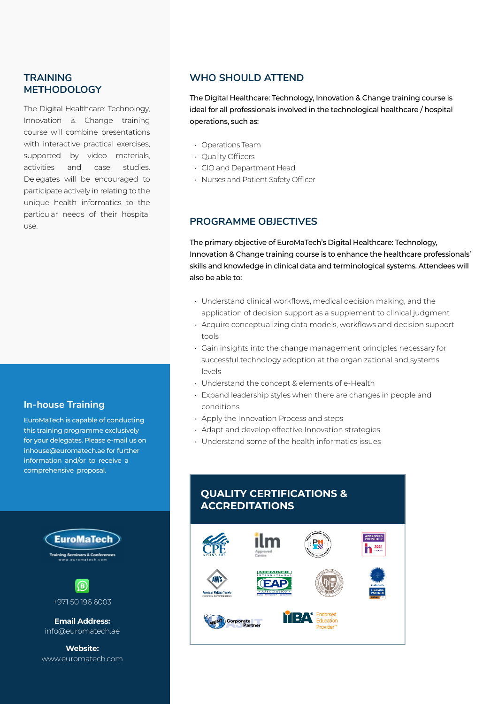## **TRAINING METHODOLOGY**

The Digital Healthcare: Technology, Innovation & Change training course will combine presentations with interactive practical exercises, supported by video materials, activities and case studies. Delegates will be encouraged to participate actively in relating to the unique health informatics to the particular needs of their hospital use.

## **In-house Training**

EuroMaTech is capable of conducting this training programme exclusively for your delegates. Please e-mail us on inhouse@euromatech.ae for further information and/or to receive a comprehensive proposal.



+971 50 196 6003

**Email Address:** info@euromatech.ae

**Website:** www.euromatech.com

## **WHO SHOULD ATTEND**

The Digital Healthcare: Technology, Innovation & Change training course is ideal for all professionals involved in the technological healthcare / hospital operations, such as:

- Operations Team
- Quality Officers
- CIO and Department Head
- Nurses and Patient Safety Officer

## **PROGRAMME OBJECTIVES**

The primary objective of EuroMaTech's Digital Healthcare: Technology, Innovation & Change training course is to enhance the healthcare professionals' skills and knowledge in clinical data and terminological systems. Attendees will also be able to:

- Understand clinical workflows, medical decision making, and the application of decision support as a supplement to clinical judgment
- Acquire conceptualizing data models, workflows and decision support tools
- Gain insights into the change management principles necessary for successful technology adoption at the organizational and systems levels
- Understand the concept & elements of e-Health
- Expand leadership styles when there are changes in people and conditions
- Apply the Innovation Process and steps
- Adapt and develop effective Innovation strategies
- Understand some of the health informatics issues

## **QUALITY CERTIFICATIONS & ACCREDITATIONS**

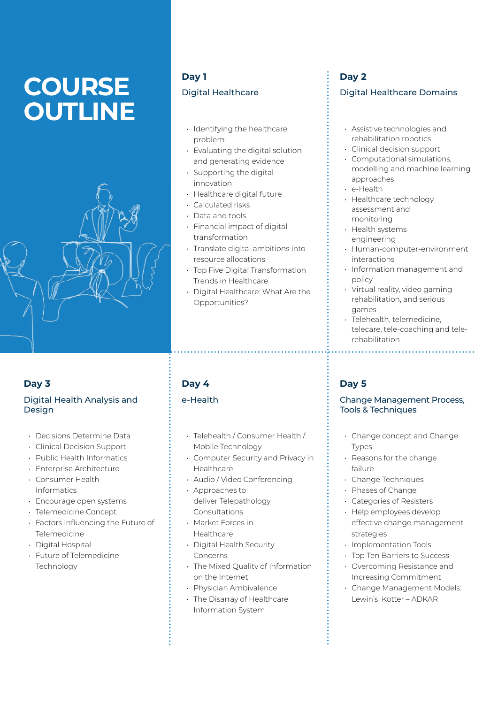# **COURSE OUTLINE**



## **Day 3**

## Digital Health Analysis and Design

- Decisions Determine Data
- Clinical Decision Support
- Public Health Informatics
- Enterprise Architecture
- Consumer Health Informatics
- Encourage open systems
- Telemedicine Concept
- Factors Influencing the Future of Telemedicine
- Digital Hospital
- Future of Telemedicine **Technology**

# **Day 1** Digital Healthcare

- Identifying the healthcare problem
- Evaluating the digital solution and generating evidence
- Supporting the digital innovation
- Healthcare digital future
- Calculated risks
- Data and tools
- Financial impact of digital transformation
- Translate digital ambitions into resource allocations
- Top Five Digital Transformation Trends in Healthcare
- Digital Healthcare: What Are the Opportunities?

# **Day 4**

## e-Health

- Telehealth / Consumer Health / Mobile Technology
- Computer Security and Privacy in Healthcare
- Audio / Video Conferencing
- Approaches to deliver Telepathology Consultations
- Market Forces in Healthcare
- Digital Health Security Concerns
- The Mixed Quality of Information on the Internet
- Physician Ambivalence
- The Disarray of Healthcare Information System

# **Day 2** Digital Healthcare Domains

- Assistive technologies and rehabilitation robotics
- Clinical decision support
- Computational simulations, modelling and machine learning approaches
- e-Health
- Healthcare technology assessment and monitoring
- Health systems engineering
- Human-computer-environment interactions
- Information management and policy
- Virtual reality, video gaming rehabilitation, and serious games
- Telehealth, telemedicine, telecare, tele-coaching and telerehabilitation

# **Day 5**

### Change Management Process, Tools & Techniques

- Change concept and Change Types
- Reasons for the change failure
- Change Techniques
- Phases of Change
- Categories of Resisters
- Help employees develop effective change management strategies
- Implementation Tools
- Top Ten Barriers to Success
- Overcoming Resistance and Increasing Commitment
- Change Management Models: Lewin's Kotter – ADKAR